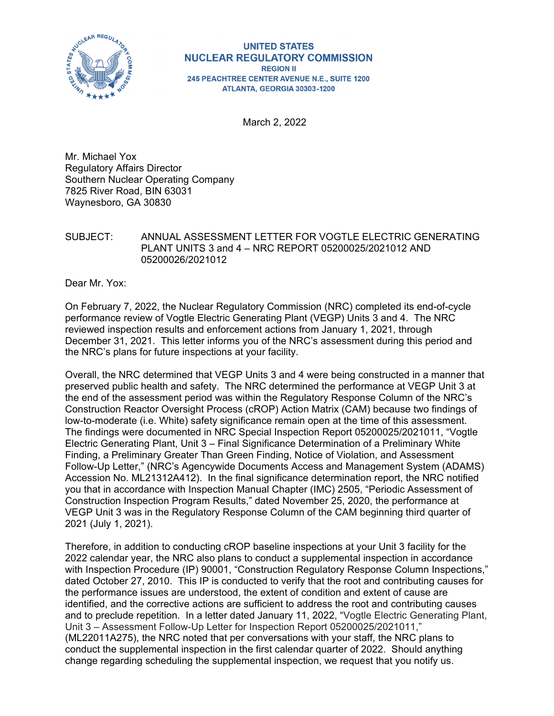

#### **UNITED STATES NUCLEAR REGULATORY COMMISSION REGION II** 245 PEACHTREE CENTER AVENUE N.E., SUITE 1200 ATLANTA, GEORGIA 30303-1200

March 2, 2022

Mr. Michael Yox Regulatory Affairs Director Southern Nuclear Operating Company 7825 River Road, BIN 63031 Waynesboro, GA 30830

### SUBJECT: ANNUAL ASSESSMENT LETTER FOR VOGTLE ELECTRIC GENERATING PLANT UNITS 3 and 4 – NRC REPORT 05200025/2021012 AND 05200026/2021012

Dear Mr. Yox:

On February 7, 2022, the Nuclear Regulatory Commission (NRC) completed its end-of-cycle performance review of Vogtle Electric Generating Plant (VEGP) Units 3 and 4. The NRC reviewed inspection results and enforcement actions from January 1, 2021, through December 31, 2021. This letter informs you of the NRC's assessment during this period and the NRC's plans for future inspections at your facility.

Overall, the NRC determined that VEGP Units 3 and 4 were being constructed in a manner that preserved public health and safety. The NRC determined the performance at VEGP Unit 3 at the end of the assessment period was within the Regulatory Response Column of the NRC's Construction Reactor Oversight Process (cROP) Action Matrix (CAM) because two findings of low-to-moderate (i.e. White) safety significance remain open at the time of this assessment. The findings were documented in NRC Special Inspection Report 05200025/2021011, "Vogtle Electric Generating Plant, Unit 3 – Final Significance Determination of a Preliminary White Finding, a Preliminary Greater Than Green Finding, Notice of Violation, and Assessment Follow-Up Letter," (NRC's Agencywide Documents Access and Management System (ADAMS) Accession No. ML21312A412). In the final significance determination report, the NRC notified you that in accordance with Inspection Manual Chapter (IMC) 2505, "Periodic Assessment of Construction Inspection Program Results," dated November 25, 2020, the performance at VEGP Unit 3 was in the Regulatory Response Column of the CAM beginning third quarter of 2021 (July 1, 2021).

Therefore, in addition to conducting cROP baseline inspections at your Unit 3 facility for the 2022 calendar year, the NRC also plans to conduct a supplemental inspection in accordance with Inspection Procedure (IP) 90001, "Construction Regulatory Response Column Inspections," dated October 27, 2010. This IP is conducted to verify that the root and contributing causes for the performance issues are understood, the extent of condition and extent of cause are identified, and the corrective actions are sufficient to address the root and contributing causes and to preclude repetition. In a letter dated January 11, 2022, "Vogtle Electric Generating Plant, Unit 3 – Assessment Follow-Up Letter for Inspection Report 05200025/2021011," (ML22011A275), the NRC noted that per conversations with your staff, the NRC plans to conduct the supplemental inspection in the first calendar quarter of 2022. Should anything change regarding scheduling the supplemental inspection, we request that you notify us.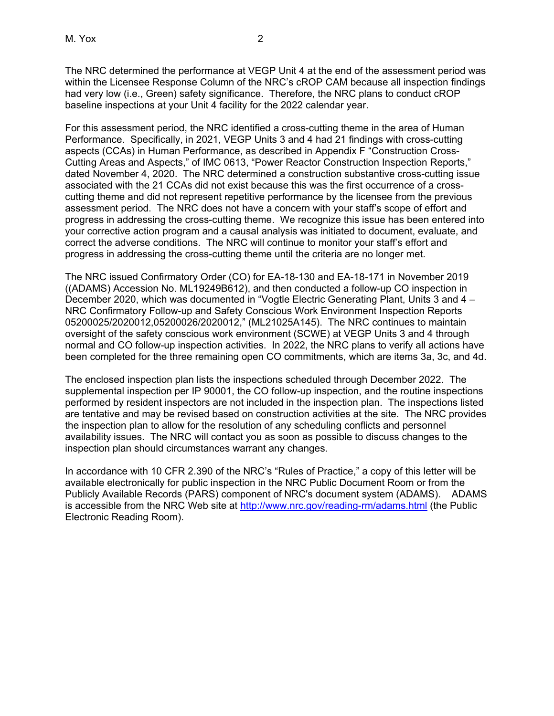The NRC determined the performance at VEGP Unit 4 at the end of the assessment period was within the Licensee Response Column of the NRC's cROP CAM because all inspection findings had very low (i.e., Green) safety significance. Therefore, the NRC plans to conduct cROP baseline inspections at your Unit 4 facility for the 2022 calendar year.

For this assessment period, the NRC identified a cross-cutting theme in the area of Human Performance. Specifically, in 2021, VEGP Units 3 and 4 had 21 findings with cross-cutting aspects (CCAs) in Human Performance, as described in Appendix F "Construction Cross-Cutting Areas and Aspects," of IMC 0613, "Power Reactor Construction Inspection Reports," dated November 4, 2020. The NRC determined a construction substantive cross-cutting issue associated with the 21 CCAs did not exist because this was the first occurrence of a crosscutting theme and did not represent repetitive performance by the licensee from the previous assessment period. The NRC does not have a concern with your staff's scope of effort and progress in addressing the cross-cutting theme. We recognize this issue has been entered into your corrective action program and a causal analysis was initiated to document, evaluate, and correct the adverse conditions. The NRC will continue to monitor your staff's effort and progress in addressing the cross-cutting theme until the criteria are no longer met.

The NRC issued Confirmatory Order (CO) for EA-18-130 and EA-18-171 in November 2019 ((ADAMS) Accession No. ML19249B612), and then conducted a follow-up CO inspection in December 2020, which was documented in "Vogtle Electric Generating Plant, Units 3 and 4 – NRC Confirmatory Follow-up and Safety Conscious Work Environment Inspection Reports 05200025/2020012,05200026/2020012," (ML21025A145). The NRC continues to maintain oversight of the safety conscious work environment (SCWE) at VEGP Units 3 and 4 through normal and CO follow-up inspection activities. In 2022, the NRC plans to verify all actions have been completed for the three remaining open CO commitments, which are items 3a, 3c, and 4d.

The enclosed inspection plan lists the inspections scheduled through December 2022. The supplemental inspection per IP 90001, the CO follow-up inspection, and the routine inspections performed by resident inspectors are not included in the inspection plan. The inspections listed are tentative and may be revised based on construction activities at the site. The NRC provides the inspection plan to allow for the resolution of any scheduling conflicts and personnel availability issues. The NRC will contact you as soon as possible to discuss changes to the inspection plan should circumstances warrant any changes.

In accordance with 10 CFR 2.390 of the NRC's "Rules of Practice," a copy of this letter will be available electronically for public inspection in the NRC Public Document Room or from the Publicly Available Records (PARS) component of NRC's document system (ADAMS). ADAMS is accessible from the NRC Web site at http://www.nrc.gov/reading-rm/adams.html (the Public Electronic Reading Room).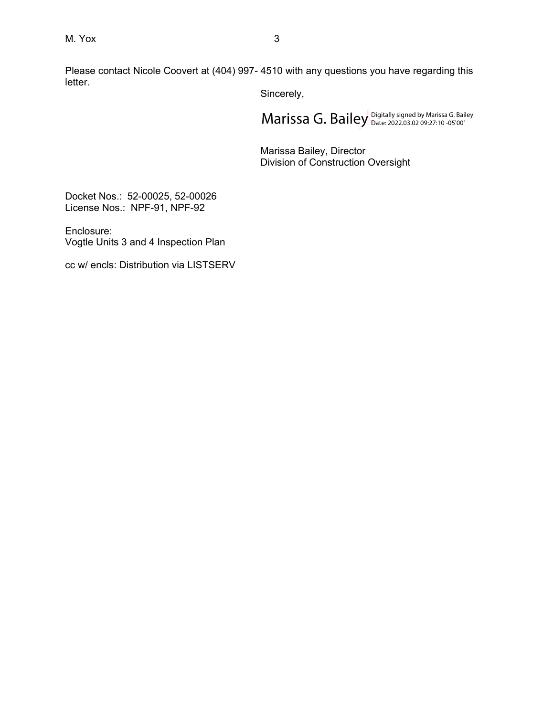Please contact Nicole Coovert at (404) 997- 4510 with any questions you have regarding this letter.

Sincerely,

 $\mathsf{Marissa}\ \mathsf{G.}\ \mathsf{Bailey}_{\mathsf{Date:}\ 2022.03.02}\ \mathsf{Das:}\ \mathsf{Das:}\ \mathsf{S.}\ \mathsf{Bailey}\ \mathsf{D.}\ \mathsf{D.}\ \mathsf{D.}\ \mathsf{D.}\ \mathsf{D.}\ \mathsf{D.}\ \mathsf{D.}\ \mathsf{D.}\ \mathsf{D.}\ \mathsf{D.}\ \mathsf{D.}\ \mathsf{D.}\ \mathsf{D.}\ \mathsf{D.}\ \mathsf{D.}\ \mathsf{D.}\ \mathsf{D.}\ \mathsf{D.}\ \mathsf{D.}\ \mathsf{D.}\ \mathsf{D.}\ \$ 

Marissa Bailey, Director Division of Construction Oversight

Docket Nos.: 52-00025, 52-00026 License Nos.: NPF-91, NPF-92

Enclosure: Vogtle Units 3 and 4 Inspection Plan

cc w/ encls: Distribution via LISTSERV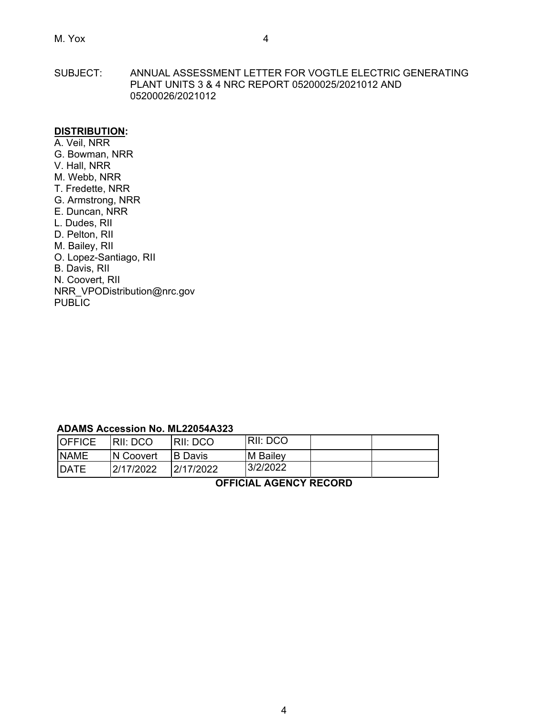SUBJECT: ANNUAL ASSESSMENT LETTER FOR VOGTLE ELECTRIC GENERATING PLANT UNITS 3 & 4 NRC REPORT 05200025/2021012 AND 05200026/2021012

### **DISTRIBUTION:**

A. Veil, NRR G. Bowman, NRR V. Hall, NRR M. Webb, NRR T. Fredette, NRR G. Armstrong, NRR E. Duncan, NRR L. Dudes, RII D. Pelton, RII M. Bailey, RII O. Lopez-Santiago, RII B. Davis, RII N. Coovert, RII NRR\_VPODistribution@nrc.gov PUBLIC

#### **ADAMS Accession No. ML22054A323**

| <b>OFFICE</b> | IRII: DCO  | IRII: DCO | RII: DCO |  |
|---------------|------------|-----------|----------|--|
| <b>NAME</b>   | IN Coovert | IB Davis  | M Bailey |  |
| <b>IDATE</b>  | 2/17/2022  | 2/17/2022 | 3/2/2022 |  |

**OFFICIAL AGENCY RECORD**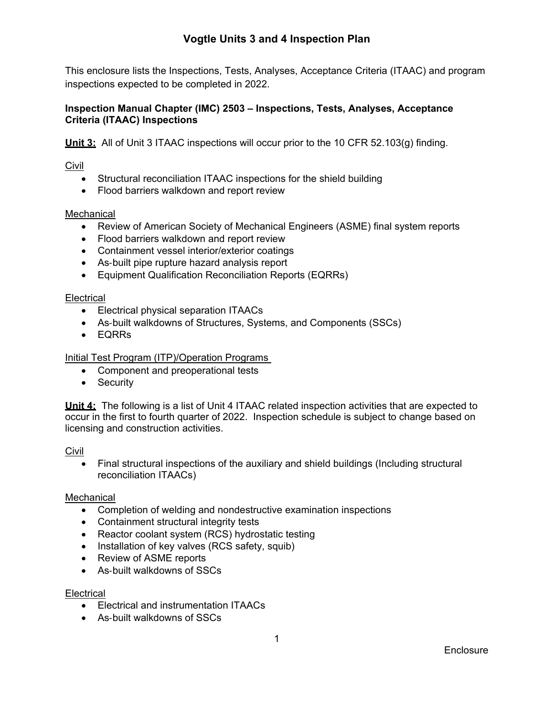# **Vogtle Units 3 and 4 Inspection Plan**

This enclosure lists the Inspections, Tests, Analyses, Acceptance Criteria (ITAAC) and program inspections expected to be completed in 2022.

# **Inspection Manual Chapter (IMC) 2503 – Inspections, Tests, Analyses, Acceptance Criteria (ITAAC) Inspections**

**Unit 3:** All of Unit 3 ITAAC inspections will occur prior to the 10 CFR 52.103(g) finding.

Civil

- Structural reconciliation ITAAC inspections for the shield building
- Flood barriers walkdown and report review

# Mechanical

- Review of American Society of Mechanical Engineers (ASME) final system reports
- Flood barriers walkdown and report review
- Containment vessel interior/exterior coatings
- As-built pipe rupture hazard analysis report
- Equipment Qualification Reconciliation Reports (EQRRs)

### **Electrical**

- Electrical physical separation ITAACs
- As-built walkdowns of Structures, Systems, and Components (SSCs)
- EQRRs

### Initial Test Program (ITP)/Operation Programs

- Component and preoperational tests
- Security

**Unit 4:** The following is a list of Unit 4 ITAAC related inspection activities that are expected to occur in the first to fourth quarter of 2022. Inspection schedule is subject to change based on licensing and construction activities.

**Civil** 

 Final structural inspections of the auxiliary and shield buildings (Including structural reconciliation ITAACs)

#### **Mechanical**

- Completion of welding and nondestructive examination inspections
- Containment structural integrity tests
- Reactor coolant system (RCS) hydrostatic testing
- Installation of key valves (RCS safety, squib)
- Review of ASME reports
- As-built walkdowns of SSCs

#### **Electrical**

- Electrical and instrumentation ITAACs
- As-built walkdowns of SSCs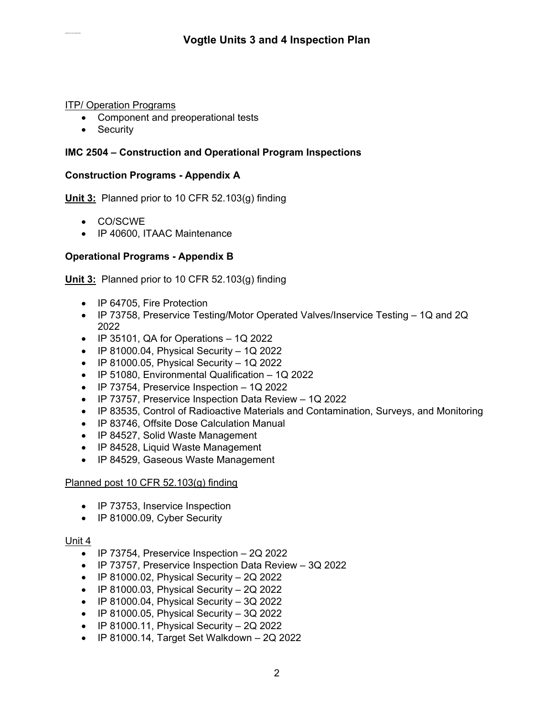# ITP/ Operation Programs

- Component and preoperational tests
- Security

# **IMC 2504 – Construction and Operational Program Inspections**

# **Construction Programs - Appendix A**

**Unit 3:** Planned prior to 10 CFR 52.103(g) finding

- CO/SCWE
- IP 40600, ITAAC Maintenance

# **Operational Programs - Appendix B**

**Unit 3:** Planned prior to 10 CFR 52.103(g) finding

- IP 64705, Fire Protection
- IP 73758, Preservice Testing/Motor Operated Valves/Inservice Testing 1Q and 2Q 2022
- $\bullet$  IP 35101, QA for Operations  $-1Q$  2022
- $\bullet$  IP 81000.04, Physical Security 1Q 2022
- $\bullet$  IP 81000.05, Physical Security 1Q 2022
- IP 51080, Environmental Qualification 1Q 2022
- $\bullet$  IP 73754, Preservice Inspection 1Q 2022
- IP 73757, Preservice Inspection Data Review 1Q 2022
- IP 83535, Control of Radioactive Materials and Contamination, Surveys, and Monitoring
- IP 83746, Offsite Dose Calculation Manual
- IP 84527, Solid Waste Management
- IP 84528, Liquid Waste Management
- IP 84529, Gaseous Waste Management

# Planned post 10 CFR 52.103(g) finding

- IP 73753, Inservice Inspection
- IP 81000.09, Cyber Security

# Unit 4

- $\bullet$  IP 73754, Preservice Inspection  $-2Q$  2022
- IP 73757, Preservice Inspection Data Review 3Q 2022
- $\bullet$  IP 81000.02, Physical Security 2Q 2022
- $\bullet$  IP 81000.03, Physical Security 2Q 2022
- $\bullet$  IP 81000.04, Physical Security 3Q 2022
- $\bullet$  IP 81000.05, Physical Security 3Q 2022
- $\bullet$  IP 81000.11, Physical Security 2Q 2022
- $\bullet$  IP 81000.14, Target Set Walkdown 2Q 2022